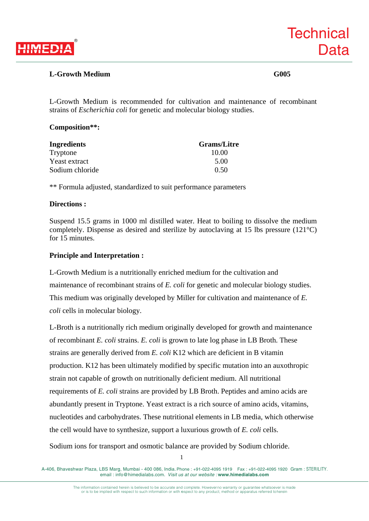

# **L-Growth Medium G005**

L-Growth Medium is recommended for cultivation and maintenance of recombinant strains of *Escherichia coli* for genetic and molecular biology studies.

## **Composition\*\*:**

| Ingredients     | <b>Grams/Litre</b> |
|-----------------|--------------------|
| Tryptone        | 10.00              |
| Yeast extract   | 5.00               |
| Sodium chloride | 0.50               |

\*\* Formula adjusted, standardized to suit performance parameters

### **Directions :**

Suspend 15.5 grams in 1000 ml distilled water. Heat to boiling to dissolve the medium completely. Dispense as desired and sterilize by autoclaving at 15 lbs pressure (121°C) for 15 minutes.

# **Principle and Interpretation :**

L-Growth Medium is a nutritionally enriched medium for the cultivation and maintenance of recombinant strains of *E. coli* for genetic and molecular biology studies. This medium was originally developed by Miller for cultivation and maintenance of *E. coli* cells in molecular biology.

L-Broth is a nutritionally rich medium originally developed for growth and maintenance of recombinant *E. coli* strains. *E. coli* is grown to late log phase in LB Broth. These strains are generally derived from *E. coli* K12 which are deficient in B vitamin production. K12 has been ultimately modified by specific mutation into an auxothropic strain not capable of growth on nutritionally deficient medium. All nutritional requirements of *E. coli* strains are provided by LB Broth. Peptides and amino acids are abundantly present in Tryptone. Yeast extract is a rich source of amino acids, vitamins, nucleotides and carbohydrates. These nutritional elements in LB media, which otherwise the cell would have to synthesize, support a luxurious growth of *E. coli* cells.

Sodium ions for transport and osmotic balance are provided by Sodium chloride.

The information contained herein is believed to be accurate and complete. However no warranty or guarantee whatsoever is made or is to be implied with respect to such information or with respect to any product, method or apparatus referred to herein

A-406, Bhaveshwar Plaza, LBS Marg, Mumbai - 400 086, India. Phone : +91-022-4095 1919 Fax : +91-022-4095 1920 Gram : STERILITY. email : info@himedialabs.com. *Visit us at our website :* **www.himedialabs.com**